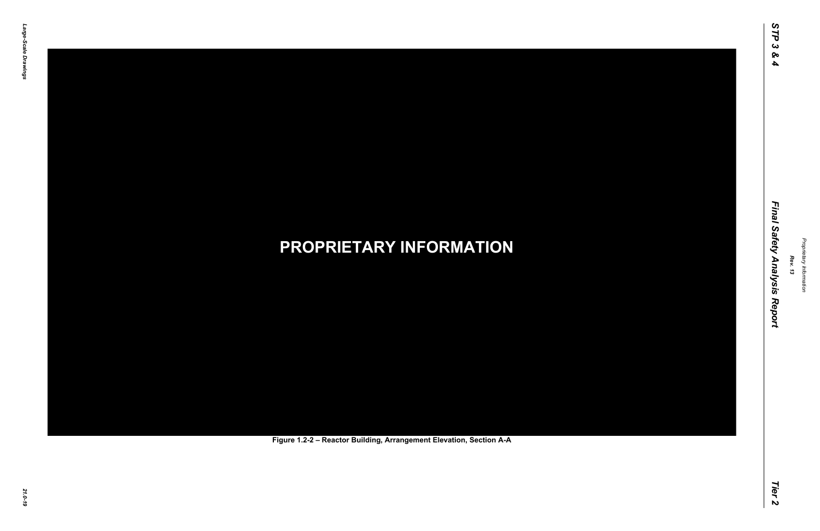### *21.0-19* **PROPRIETARY INFORMATION Figure 1.2-2 – Reactor Building, Arrangement Elevation, Section A-A**

*Rev. 13*

### *STP 3 & 4 Final Safety Analysis Report Tier 2* Final Safety Analysis Report

Tier 2

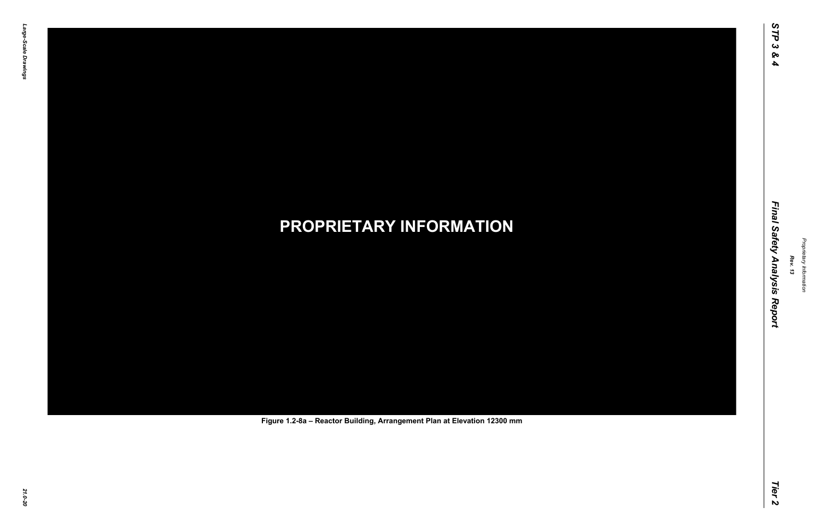# *21.0-20* **PROPRIETARY INFORMATION Figure 1.2-8a – Reactor Building, Arrangement Plan at Elevation 12300 mm**

*Rev. 13*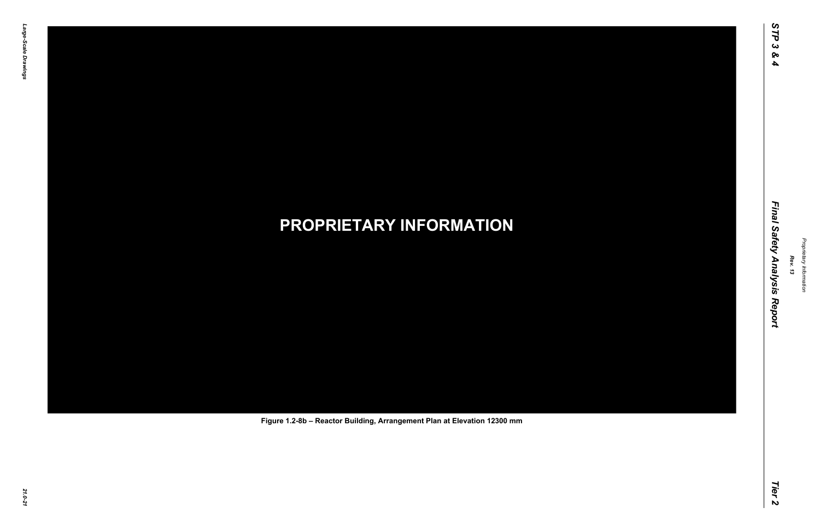# *21.0-21* **PROPRIETARY INFORMATION Figure 1.2-8b – Reactor Building, Arrangement Plan at Elevation 12300 mm**

*Rev. 13*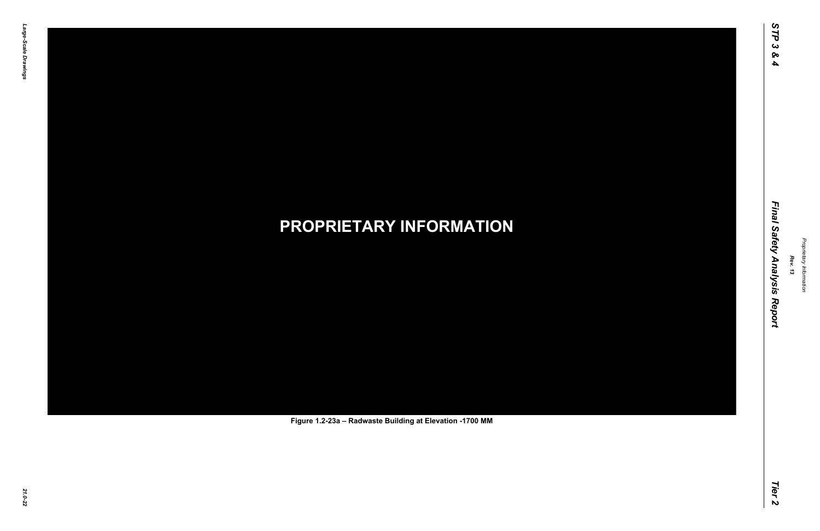# *21.0-22* **PROPRIETARY INFORMATION Figure 1.2-23a – Radwaste Building at Elevation -1700 MM**

*Rev. 13*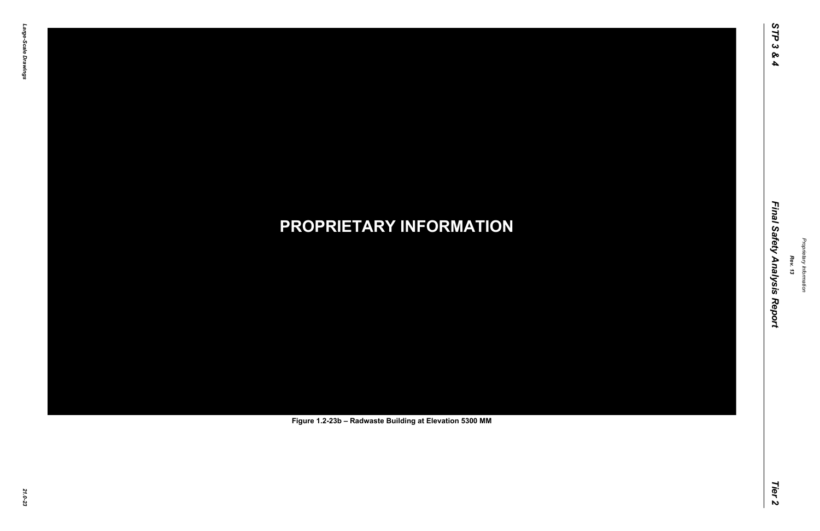# *21.0-23* **PROPRIETARY INFORMATION Figure 1.2-23b – Radwaste Building at Elevation 5300 MM**

*Rev. 13*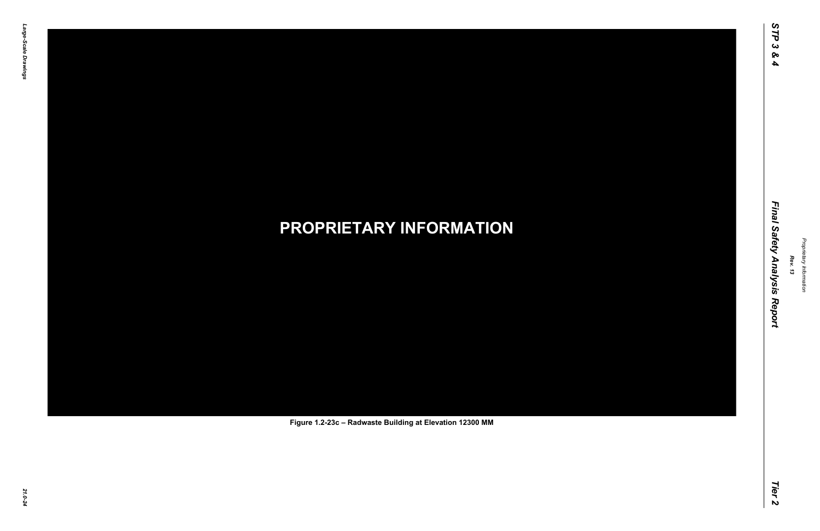# *21.0-24* **PROPRIETARY INFORMATION Figure 1.2-23c – Radwaste Building at Elevation 12300 MM**

*Rev. 13*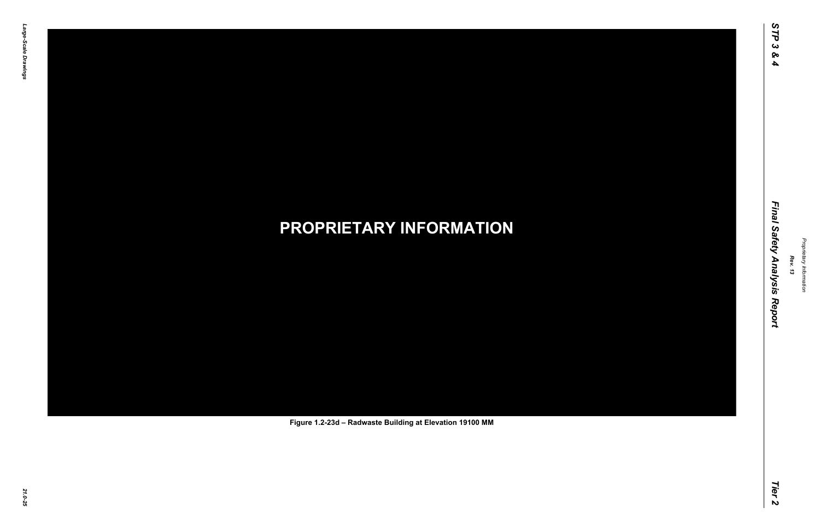# *21.0-25* **PROPRIETARY INFORMATION Figure 1.2-23d – Radwaste Building at Elevation 19100 MM**

*Rev. 13*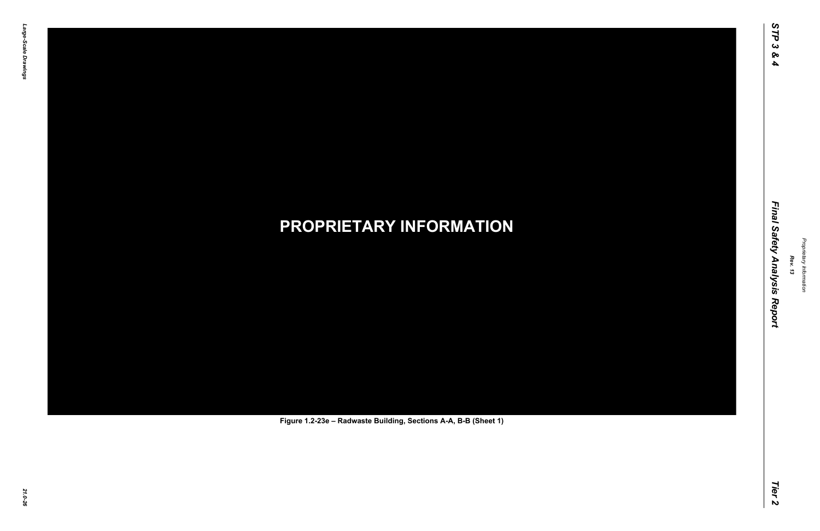# *21.0-26* **PROPRIETARY INFORMATION Figure 1.2-23e – Radwaste Building, Sections A-A, B-B (Sheet 1)**

*Rev. 13*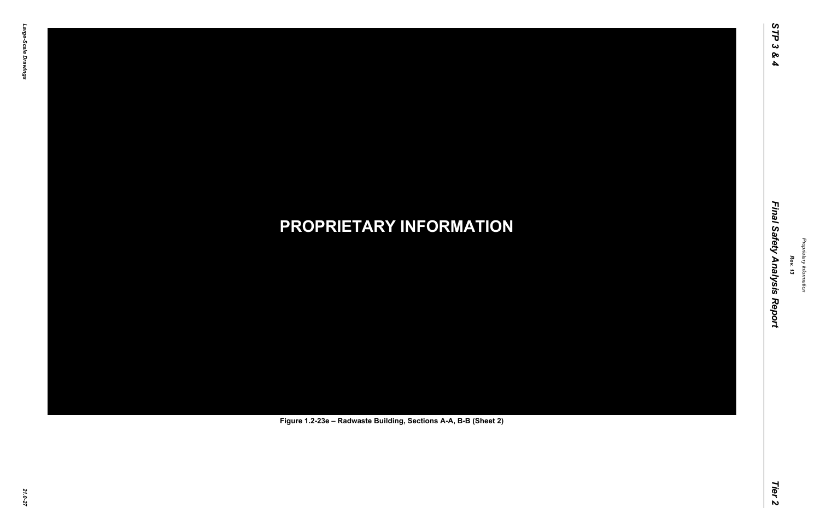# *21.0-27* **PROPRIETARY INFORMATION Figure 1.2-23e – Radwaste Building, Sections A-A, B-B (Sheet 2)**

*Rev. 13*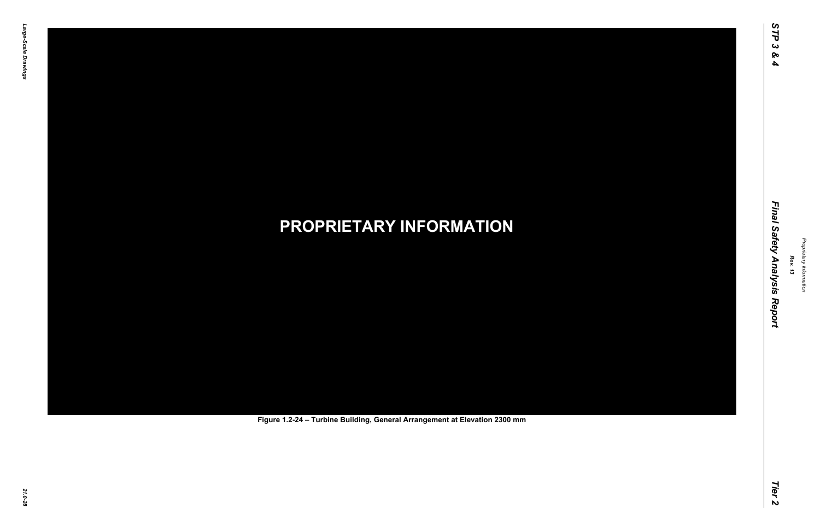# *21.0-28* **PROPRIETARY INFORMATION Figure 1.2-24 – Turbine Building, General Arrangement at Elevation 2300 mm**

*Rev. 13*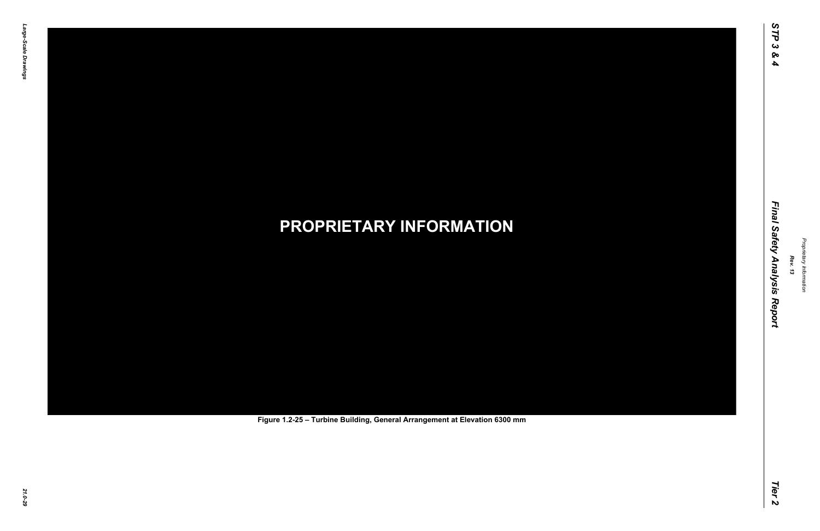# *21.0-29* **PROPRIETARY INFORMATION Figure 1.2-25 – Turbine Building, General Arrangement at Elevation 6300 mm**

*Rev. 13*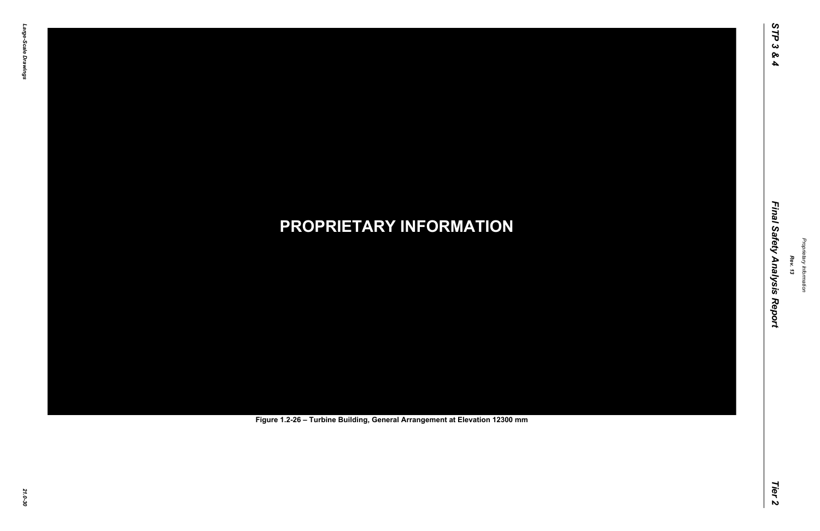# *21.0-30* **PROPRIETARY INFORMATION Figure 1.2-26 – Turbine Building, General Arrangement at Elevation 12300 mm**

*Rev. 13*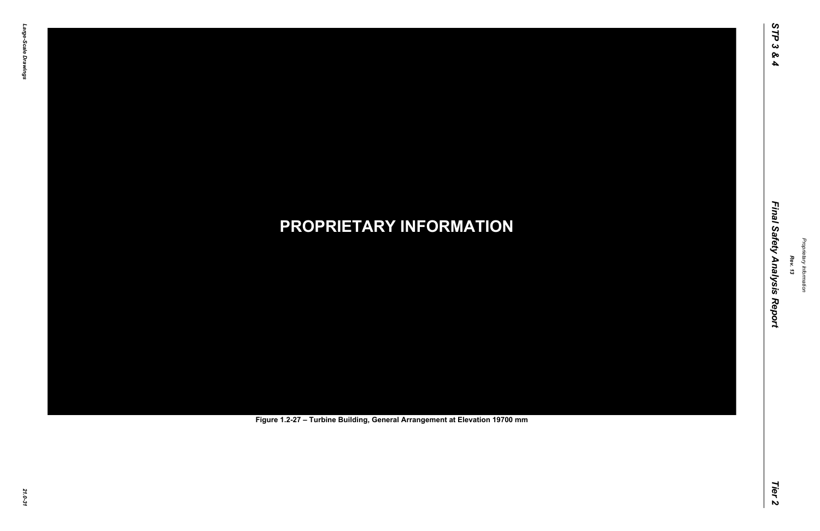# *21.0-31* **PROPRIETARY INFORMATION Figure 1.2-27 – Turbine Building, General Arrangement at Elevation 19700 mm**

*Rev. 13*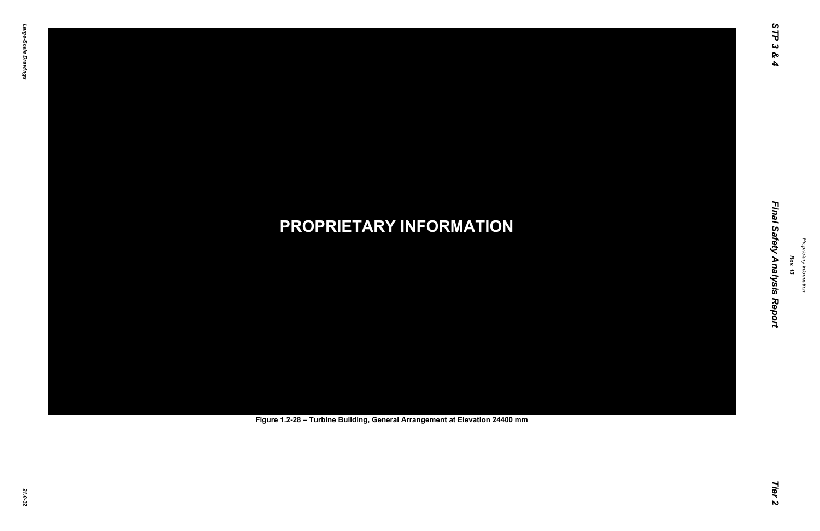# *21.0-32* **PROPRIETARY INFORMATION Figure 1.2-28 – Turbine Building, General Arrangement at Elevation 24400 mm**

*Rev. 13*